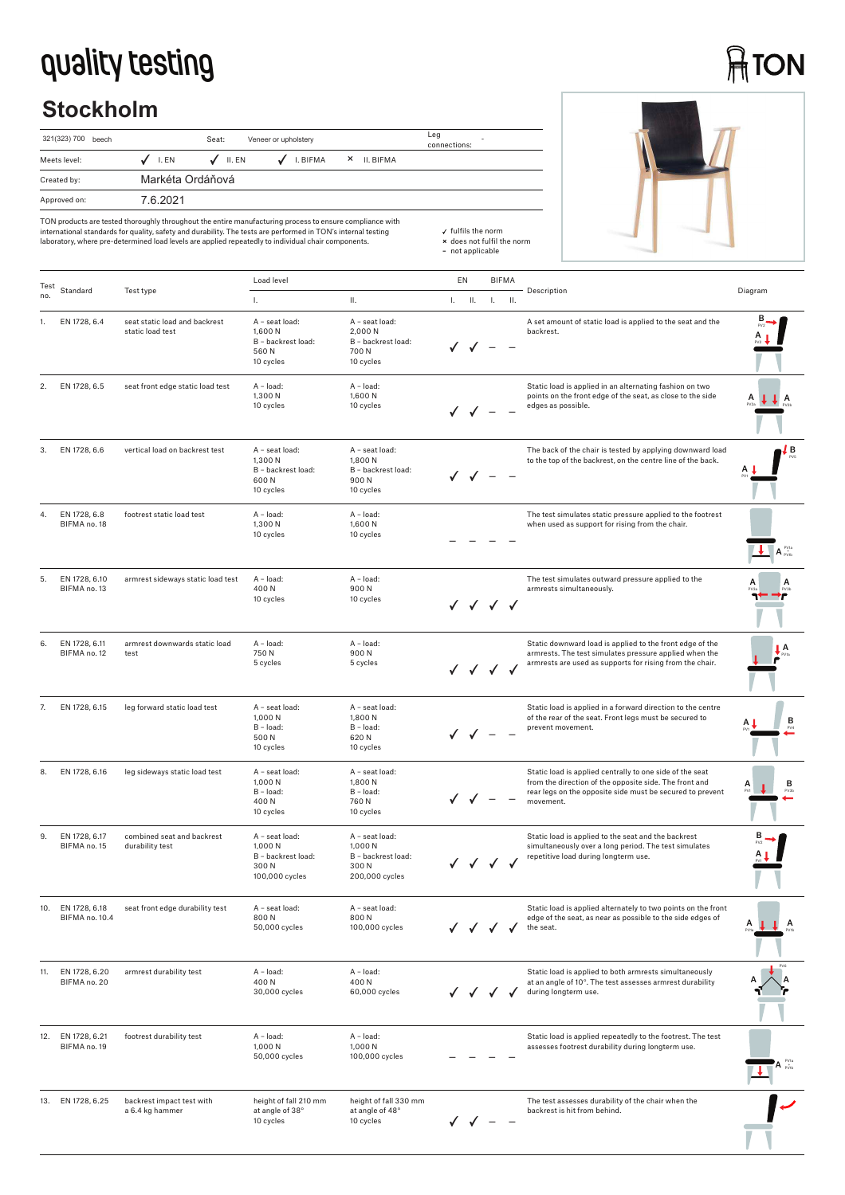## **quality testing**

## **ATON**

## **Stockholm**

| 321(323) 700 beech |                  |                  | Leg<br>connections: |                       |  |
|--------------------|------------------|------------------|---------------------|-----------------------|--|
| Meets level:       | $J$ I.EN         | $\sqrt{}$ II. EN | $J$ I. BIFMA        | $\times$<br>II. BIFMA |  |
| Created by:        | Markéta Ordáňová |                  |                     |                       |  |
| Approved on:       | 7.6.2021         |                  |                     |                       |  |

| TON products are tested thoroughly throughout the entire manufacturing process to ensure compliance with      |
|---------------------------------------------------------------------------------------------------------------|
| international standards for quality, safety and durability. The tests are performed in TON's internal testing |
| laboratory, where pre-determined load levels are applied repeatedly to individual chair components.           |

| Test |                                 |                                                   | Load level                                                                |                                                                           | EN |           | <b>BIFMA</b>                                        |     |                                                                                                                                                                                              |                                 |
|------|---------------------------------|---------------------------------------------------|---------------------------------------------------------------------------|---------------------------------------------------------------------------|----|-----------|-----------------------------------------------------|-----|----------------------------------------------------------------------------------------------------------------------------------------------------------------------------------------------|---------------------------------|
| no.  | Standard                        | Test type                                         | L.                                                                        | Ш.                                                                        |    | $L = H$ . | $\mathbf{L}$                                        | II. | Description                                                                                                                                                                                  | Diagram                         |
|      | EN 1728, 6.4                    | seat static load and backrest<br>static load test | A - seat load:<br>1,600 N<br>B - backrest load:<br>560N<br>10 cycles      | A - seat load:<br>2,000 N<br>B - backrest load:<br>700 N<br>10 cycles     |    |           |                                                     |     | A set amount of static load is applied to the seat and the<br>backrest.                                                                                                                      |                                 |
| 2.   | EN 1728, 6.5                    | seat front edge static load test                  | A - load:<br>1,300 N<br>10 cycles                                         | A - load:<br>1,600 N<br>10 cycles                                         |    |           |                                                     |     | Static load is applied in an alternating fashion on two<br>points on the front edge of the seat, as close to the side<br>edges as possible.                                                  | J A                             |
| 3.   | EN 1728, 6.6                    | vertical load on backrest test                    | A - seat load:<br>1,300 N<br>B - backrest load:<br>600N<br>10 cycles      | A - seat load:<br>1,800 N<br>B - backrest load:<br>900N<br>10 cycles      |    |           |                                                     |     | The back of the chair is tested by applying downward load<br>to the top of the backrest, on the centre line of the back.                                                                     | ĮВ                              |
| 4.   | EN 1728, 6.8<br>BIFMA no. 18    | footrest static load test                         | A - load:<br>1,300 N<br>10 cycles                                         | A - load:<br>1,600N<br>10 cycles                                          |    |           |                                                     |     | The test simulates static pressure applied to the footrest<br>when used as support for rising from the chair.                                                                                | $A_{\text{pvis}}^{\text{pvis}}$ |
| 5.   | EN 1728, 6.10<br>BIFMA no. 13   | armrest sideways static load test                 | A - load:<br>400N<br>10 cycles                                            | A - load:<br>900N<br>10 cycles                                            |    |           | V V V V                                             |     | The test simulates outward pressure applied to the<br>armrests simultaneously.                                                                                                               |                                 |
| 6.   | EN 1728, 6.11<br>BIFMA no. 12   | armrest downwards static load<br>test             | A - load:<br>750N<br>5 cycles                                             | A - load:<br>900N<br>5 cycles                                             |    |           | $\checkmark$ $\checkmark$ $\checkmark$ $\checkmark$ |     | Static downward load is applied to the front edge of the<br>armrests. The test simulates pressure applied when the<br>armrests are used as supports for rising from the chair.               | А                               |
| 7.   | EN 1728, 6.15                   | leg forward static load test                      | A - seat load:<br>1,000 N<br>$B - load:$<br>500 N<br>10 cycles            | A - seat load:<br>1,800 N<br>B - load:<br>620N<br>10 cycles               |    |           |                                                     |     | Static load is applied in a forward direction to the centre<br>of the rear of the seat. Front legs must be secured to<br>prevent movement.                                                   | в                               |
| 8.   | EN 1728, 6.16                   | leg sideways static load test                     | A - seat load:<br>1,000 N<br>B - load:<br>400N<br>10 cycles               | A - seat load:<br>1,800 N<br>B - load:<br>760 N<br>10 cycles              |    |           |                                                     |     | Static load is applied centrally to one side of the seat<br>from the direction of the opposite side. The front and<br>rear legs on the opposite side must be secured to prevent<br>movement. | А<br>в<br>PV38                  |
| 9.   | EN 1728, 6.17<br>BIFMA no. 15   | combined seat and backrest<br>durability test     | A - seat load:<br>1,000 N<br>B - backrest load:<br>300N<br>100,000 cycles | A - seat load:<br>1,000 N<br>B - backrest load:<br>300N<br>200,000 cycles |    |           |                                                     |     | Static load is applied to the seat and the backrest<br>simultaneously over a long period. The test simulates<br>repetitive load during longterm use.                                         |                                 |
|      | EN 1728, 6.18<br>BIFMA no. 10.4 | seat front edge durability test                   | A - seat load:<br>800N<br>50,000 cycles                                   | A - seat load:<br>800N<br>100,000 cycles                                  |    |           |                                                     |     | Static load is applied alternately to two points on the front<br>edge of the seat, as near as possible to the side edges of<br>the seat.                                                     | А<br>A                          |
| 11.  | EN 1728, 6.20<br>BIFMA no. 20   | armrest durability test                           | A - load:<br>400N<br>30,000 cycles                                        | A - load:<br>400N<br>60,000 cycles                                        |    |           |                                                     |     | Static load is applied to both armrests simultaneously<br>at an angle of 10°. The test assesses armrest durability<br>during longterm use.                                                   |                                 |
| 12.  | EN 1728, 6.21<br>BIFMA no. 19   | footrest durability test                          | A - load:<br>1,000 N<br>50,000 cycles                                     | A - load:<br>1,000 N<br>100,000 cycles                                    |    |           |                                                     |     | Static load is applied repeatedly to the footrest. The test<br>assesses footrest durability during longterm use.                                                                             |                                 |
| 13.  | EN 1728, 6.25                   | backrest impact test with<br>a 6.4 kg hammer      | height of fall 210 mm<br>at angle of 38°<br>10 cycles                     | height of fall 330 mm<br>at angle of 48°<br>10 cycles                     |    |           |                                                     |     | The test assesses durability of the chair when the<br>backrest is hit from behind.                                                                                                           |                                 |

fulfils the norm **×** does not fulfil the norm **–** not applicable